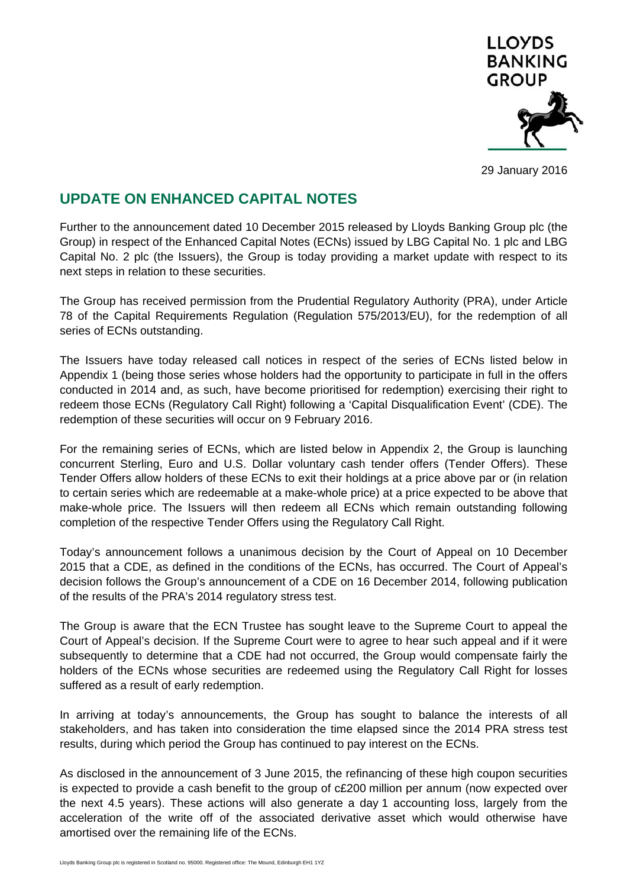

29 January 2016

# **UPDATE ON ENHANCED CAPITAL NOTES**

Further to the announcement dated 10 December 2015 released by Lloyds Banking Group plc (the Group) in respect of the Enhanced Capital Notes (ECNs) issued by LBG Capital No. 1 plc and LBG Capital No. 2 plc (the Issuers), the Group is today providing a market update with respect to its next steps in relation to these securities.

The Group has received permission from the Prudential Regulatory Authority (PRA), under Article 78 of the Capital Requirements Regulation (Regulation 575/2013/EU), for the redemption of all series of ECNs outstanding.

The Issuers have today released call notices in respect of the series of ECNs listed below in Appendix 1 (being those series whose holders had the opportunity to participate in full in the offers conducted in 2014 and, as such, have become prioritised for redemption) exercising their right to redeem those ECNs (Regulatory Call Right) following a 'Capital Disqualification Event' (CDE). The redemption of these securities will occur on 9 February 2016.

For the remaining series of ECNs, which are listed below in Appendix 2, the Group is launching concurrent Sterling, Euro and U.S. Dollar voluntary cash tender offers (Tender Offers). These Tender Offers allow holders of these ECNs to exit their holdings at a price above par or (in relation to certain series which are redeemable at a make-whole price) at a price expected to be above that make-whole price. The Issuers will then redeem all ECNs which remain outstanding following completion of the respective Tender Offers using the Regulatory Call Right.

Today's announcement follows a unanimous decision by the Court of Appeal on 10 December 2015 that a CDE, as defined in the conditions of the ECNs, has occurred. The Court of Appeal's decision follows the Group's announcement of a CDE on 16 December 2014, following publication of the results of the PRA's 2014 regulatory stress test.

The Group is aware that the ECN Trustee has sought leave to the Supreme Court to appeal the Court of Appeal's decision. If the Supreme Court were to agree to hear such appeal and if it were subsequently to determine that a CDE had not occurred, the Group would compensate fairly the holders of the ECNs whose securities are redeemed using the Regulatory Call Right for losses suffered as a result of early redemption.

In arriving at today's announcements, the Group has sought to balance the interests of all stakeholders, and has taken into consideration the time elapsed since the 2014 PRA stress test results, during which period the Group has continued to pay interest on the ECNs.

As disclosed in the announcement of 3 June 2015, the refinancing of these high coupon securities is expected to provide a cash benefit to the group of c£200 million per annum (now expected over the next 4.5 years). These actions will also generate a day 1 accounting loss, largely from the acceleration of the write off of the associated derivative asset which would otherwise have amortised over the remaining life of the ECNs.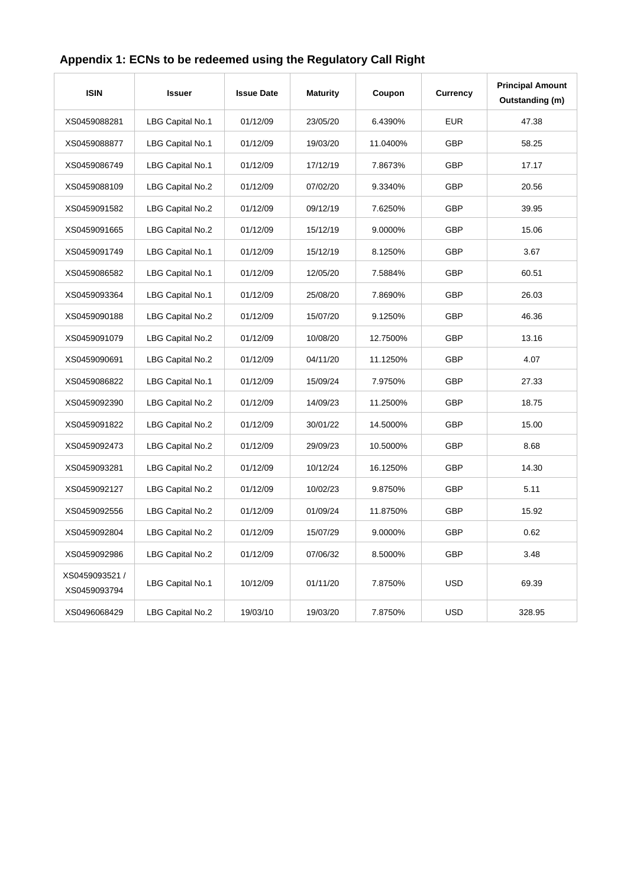| <b>ISIN</b>                    | <b>Issuer</b>    | <b>Issue Date</b> | <b>Maturity</b> | Coupon   | Currency   | <b>Principal Amount</b><br>Outstanding (m) |
|--------------------------------|------------------|-------------------|-----------------|----------|------------|--------------------------------------------|
| XS0459088281                   | LBG Capital No.1 | 01/12/09          | 23/05/20        | 6.4390%  | <b>EUR</b> | 47.38                                      |
| XS0459088877                   | LBG Capital No.1 | 01/12/09          | 19/03/20        | 11.0400% | <b>GBP</b> | 58.25                                      |
| XS0459086749                   | LBG Capital No.1 | 01/12/09          | 17/12/19        | 7.8673%  | <b>GBP</b> | 17.17                                      |
| XS0459088109                   | LBG Capital No.2 | 01/12/09          | 07/02/20        | 9.3340%  | <b>GBP</b> | 20.56                                      |
| XS0459091582                   | LBG Capital No.2 | 01/12/09          | 09/12/19        | 7.6250%  | <b>GBP</b> | 39.95                                      |
| XS0459091665                   | LBG Capital No.2 | 01/12/09          | 15/12/19        | 9.0000%  | <b>GBP</b> | 15.06                                      |
| XS0459091749                   | LBG Capital No.1 | 01/12/09          | 15/12/19        | 8.1250%  | <b>GBP</b> | 3.67                                       |
| XS0459086582                   | LBG Capital No.1 | 01/12/09          | 12/05/20        | 7.5884%  | <b>GBP</b> | 60.51                                      |
| XS0459093364                   | LBG Capital No.1 | 01/12/09          | 25/08/20        | 7.8690%  | <b>GBP</b> | 26.03                                      |
| XS0459090188                   | LBG Capital No.2 | 01/12/09          | 15/07/20        | 9.1250%  | <b>GBP</b> | 46.36                                      |
| XS0459091079                   | LBG Capital No.2 | 01/12/09          | 10/08/20        | 12.7500% | <b>GBP</b> | 13.16                                      |
| XS0459090691                   | LBG Capital No.2 | 01/12/09          | 04/11/20        | 11.1250% | <b>GBP</b> | 4.07                                       |
| XS0459086822                   | LBG Capital No.1 | 01/12/09          | 15/09/24        | 7.9750%  | <b>GBP</b> | 27.33                                      |
| XS0459092390                   | LBG Capital No.2 | 01/12/09          | 14/09/23        | 11.2500% | <b>GBP</b> | 18.75                                      |
| XS0459091822                   | LBG Capital No.2 | 01/12/09          | 30/01/22        | 14.5000% | <b>GBP</b> | 15.00                                      |
| XS0459092473                   | LBG Capital No.2 | 01/12/09          | 29/09/23        | 10.5000% | <b>GBP</b> | 8.68                                       |
| XS0459093281                   | LBG Capital No.2 | 01/12/09          | 10/12/24        | 16.1250% | <b>GBP</b> | 14.30                                      |
| XS0459092127                   | LBG Capital No.2 | 01/12/09          | 10/02/23        | 9.8750%  | <b>GBP</b> | 5.11                                       |
| XS0459092556                   | LBG Capital No.2 | 01/12/09          | 01/09/24        | 11.8750% | <b>GBP</b> | 15.92                                      |
| XS0459092804                   | LBG Capital No.2 | 01/12/09          | 15/07/29        | 9.0000%  | <b>GBP</b> | 0.62                                       |
| XS0459092986                   | LBG Capital No.2 | 01/12/09          | 07/06/32        | 8.5000%  | <b>GBP</b> | 3.48                                       |
| XS0459093521 /<br>XS0459093794 | LBG Capital No.1 | 10/12/09          | 01/11/20        | 7.8750%  | <b>USD</b> | 69.39                                      |
| XS0496068429                   | LBG Capital No.2 | 19/03/10          | 19/03/20        | 7.8750%  | <b>USD</b> | 328.95                                     |

# **Appendix 1: ECNs to be redeemed using the Regulatory Call Right**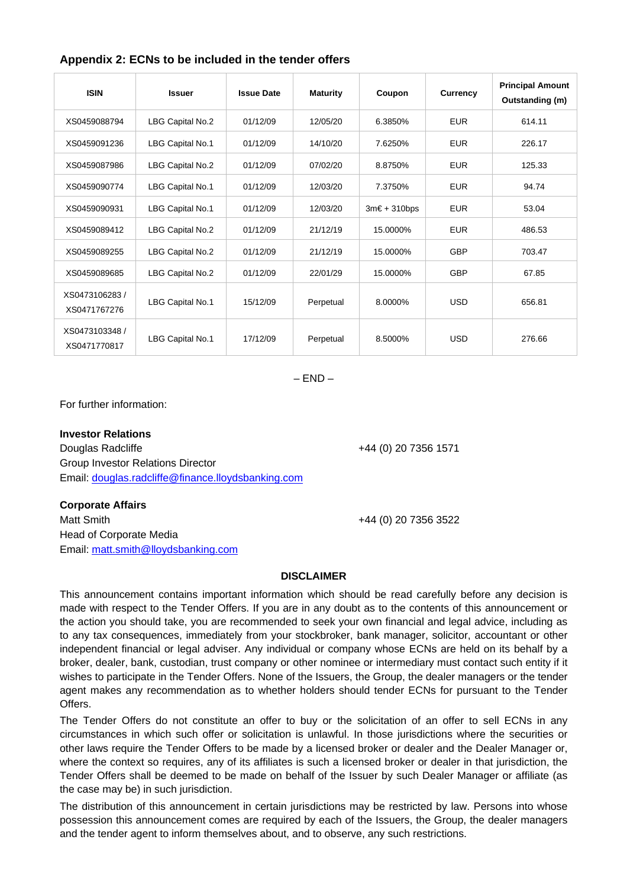| <b>ISIN</b>                    | <b>Issuer</b>    | <b>Issue Date</b> | <b>Maturity</b> | Coupon                | Currency   | <b>Principal Amount</b><br>Outstanding (m) |
|--------------------------------|------------------|-------------------|-----------------|-----------------------|------------|--------------------------------------------|
| XS0459088794                   | LBG Capital No.2 | 01/12/09          | 12/05/20        | 6.3850%               | <b>EUR</b> | 614.11                                     |
| XS0459091236                   | LBG Capital No.1 | 01/12/09          | 14/10/20        | 7.6250%               | <b>EUR</b> | 226.17                                     |
| XS0459087986                   | LBG Capital No.2 | 01/12/09          | 07/02/20        | 8.8750%               | <b>EUR</b> | 125.33                                     |
| XS0459090774                   | LBG Capital No.1 | 01/12/09          | 12/03/20        | 7.3750%               | <b>EUR</b> | 94.74                                      |
| XS0459090931                   | LBG Capital No.1 | 01/12/09          | 12/03/20        | $3m\epsilon + 310bps$ | <b>EUR</b> | 53.04                                      |
| XS0459089412                   | LBG Capital No.2 | 01/12/09          | 21/12/19        | 15.0000%              | <b>EUR</b> | 486.53                                     |
| XS0459089255                   | LBG Capital No.2 | 01/12/09          | 21/12/19        | 15.0000%              | <b>GBP</b> | 703.47                                     |
| XS0459089685                   | LBG Capital No.2 | 01/12/09          | 22/01/29        | 15.0000%              | <b>GBP</b> | 67.85                                      |
| XS0473106283/<br>XS0471767276  | LBG Capital No.1 | 15/12/09          | Perpetual       | 8.0000%               | <b>USD</b> | 656.81                                     |
| XS0473103348 /<br>XS0471770817 | LBG Capital No.1 | 17/12/09          | Perpetual       | 8.5000%               | <b>USD</b> | 276.66                                     |

## **Appendix 2: ECNs to be included in the tender offers**

 $-$  END  $-$ 

For further information:

### **Investor Relations**

Douglas Radcliffe +44 (0) 20 7356 1571 Group Investor Relations Director Email: douglas.radcliffe@finance.lloydsbanking.com

### **Corporate Affairs**

Matt Smith +44 (0) 20 7356 3522 Head of Corporate Media Email: matt.smith@lloydsbanking.com

### **DISCLAIMER**

This announcement contains important information which should be read carefully before any decision is made with respect to the Tender Offers. If you are in any doubt as to the contents of this announcement or the action you should take, you are recommended to seek your own financial and legal advice, including as to any tax consequences, immediately from your stockbroker, bank manager, solicitor, accountant or other independent financial or legal adviser. Any individual or company whose ECNs are held on its behalf by a broker, dealer, bank, custodian, trust company or other nominee or intermediary must contact such entity if it wishes to participate in the Tender Offers. None of the Issuers, the Group, the dealer managers or the tender agent makes any recommendation as to whether holders should tender ECNs for pursuant to the Tender Offers.

The Tender Offers do not constitute an offer to buy or the solicitation of an offer to sell ECNs in any circumstances in which such offer or solicitation is unlawful. In those jurisdictions where the securities or other laws require the Tender Offers to be made by a licensed broker or dealer and the Dealer Manager or, where the context so requires, any of its affiliates is such a licensed broker or dealer in that jurisdiction, the Tender Offers shall be deemed to be made on behalf of the Issuer by such Dealer Manager or affiliate (as the case may be) in such jurisdiction.

The distribution of this announcement in certain jurisdictions may be restricted by law. Persons into whose possession this announcement comes are required by each of the Issuers, the Group, the dealer managers and the tender agent to inform themselves about, and to observe, any such restrictions.